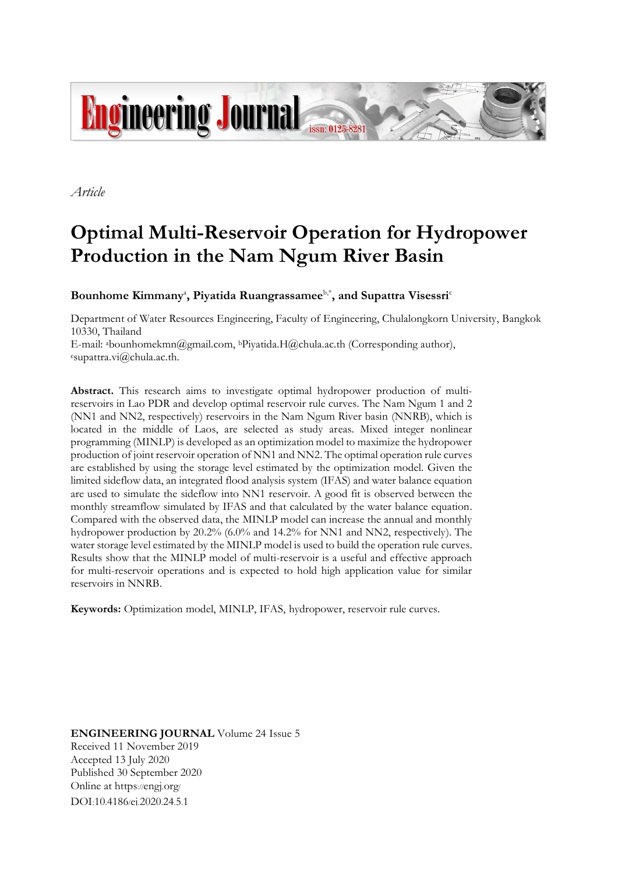

*Article*

# **Optimal Multi-Reservoir Operation for Hydropower Production in the Nam Ngum River Basin**

**Bounhome Kimmany**<sup>a</sup> **, Piyatida Ruangrassamee**b,\* **, and Supattra Visessri**<sup>c</sup>

Department of Water Resources Engineering, Faculty of Engineering, Chulalongkorn University, Bangkok 10330, Thailand

E-mail: abounhomekmn@gmail.com, bPiyatida.H@chula.ac.th (Corresponding author), <sup>c</sup>supattra.vi@chula.ac.th.

**Abstract.** This research aims to investigate optimal hydropower production of multireservoirs in Lao PDR and develop optimal reservoir rule curves. The Nam Ngum 1 and 2 (NN1 and NN2, respectively) reservoirs in the Nam Ngum River basin (NNRB), which is located in the middle of Laos, are selected as study areas. Mixed integer nonlinear programming (MINLP) is developed as an optimization model to maximize the hydropower production of joint reservoir operation of NN1 and NN2. The optimal operation rule curves are established by using the storage level estimated by the optimization model. Given the limited sideflow data, an integrated flood analysis system (IFAS) and water balance equation are used to simulate the sideflow into NN1 reservoir. A good fit is observed between the monthly streamflow simulated by IFAS and that calculated by the water balance equation. Compared with the observed data, the MINLP model can increase the annual and monthly hydropower production by 20.2% (6.0% and 14.2% for NN1 and NN2, respectively). The water storage level estimated by the MINLP model is used to build the operation rule curves. Results show that the MINLP model of multi-reservoir is a useful and effective approach for multi-reservoir operations and is expected to hold high application value for similar reservoirs in NNRB.

**Keywords:** Optimization model, MINLP, IFAS, hydropower, reservoir rule curves.

**ENGINEERING JOURNAL** Volume 24 Issue 5 Received 11 November 2019 Accepted 13 July 2020 Published 30 September 2020 Online at https://engj.org/ DOI:10.4186/ej.2020.24.5.1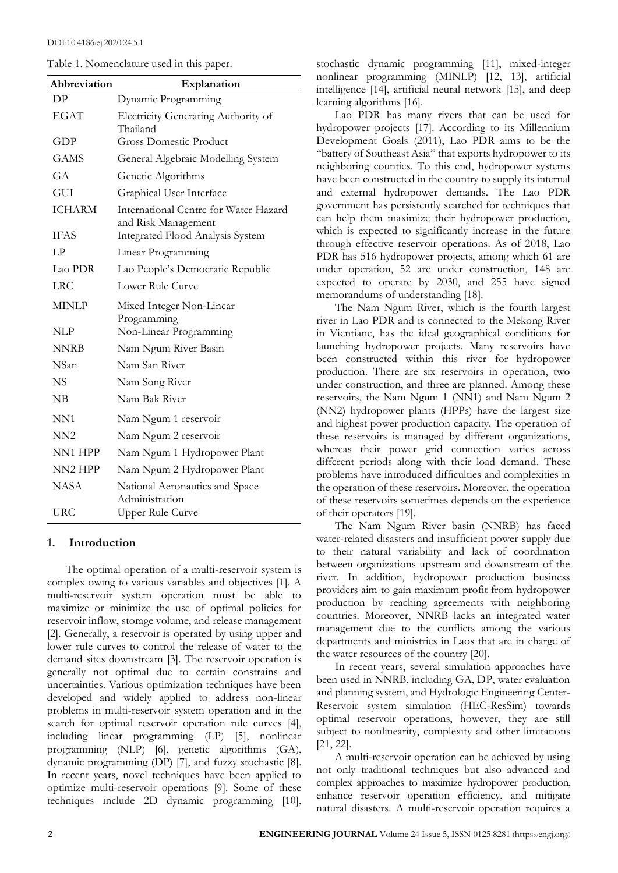| Table 1. Nomenclature used in this paper |  |  |  |
|------------------------------------------|--|--|--|
|------------------------------------------|--|--|--|

| Abbreviation  | Explanation                                                  |
|---------------|--------------------------------------------------------------|
| DP            | Dynamic Programming                                          |
| <b>EGAT</b>   | Electricity Generating Authority of<br>Thailand              |
| <b>GDP</b>    | <b>Gross Domestic Product</b>                                |
| <b>GAMS</b>   | General Algebraic Modelling System                           |
| GA            | Genetic Algorithms                                           |
| GUI           | Graphical User Interface                                     |
| <b>ICHARM</b> | International Centre for Water Hazard<br>and Risk Management |
| <b>IFAS</b>   | Integrated Flood Analysis System                             |
| LP            | Linear Programming                                           |
| Lao PDR       | Lao People's Democratic Republic                             |
| LRC           | Lower Rule Curve                                             |
| <b>MINLP</b>  | Mixed Integer Non-Linear<br>Programming                      |
| NLP           | Non-Linear Programming                                       |
| NNRB          | Nam Ngum River Basin                                         |
| <b>NSan</b>   | Nam San River                                                |
| <b>NS</b>     | Nam Song River                                               |
| NB            | Nam Bak River                                                |
| NN1           | Nam Ngum 1 reservoir                                         |
| NN2           | Nam Ngum 2 reservoir                                         |
| NN1 HPP       | Nam Ngum 1 Hydropower Plant                                  |
| NN2 HPP       | Nam Ngum 2 Hydropower Plant                                  |
| NASA          | National Aeronautics and Space<br>Administration             |
| <b>URC</b>    | Upper Rule Curve                                             |

### **1. Introduction**

The optimal operation of a multi-reservoir system is complex owing to various variables and objectives [1]. A multi-reservoir system operation must be able to maximize or minimize the use of optimal policies for reservoir inflow, storage volume, and release management [2]. Generally, a reservoir is operated by using upper and lower rule curves to control the release of water to the demand sites downstream [3]. The reservoir operation is generally not optimal due to certain constrains and uncertainties. Various optimization techniques have been developed and widely applied to address non-linear problems in multi-reservoir system operation and in the search for optimal reservoir operation rule curves [4], including linear programming (LP) [5], nonlinear programming (NLP) [6], genetic algorithms (GA), dynamic programming (DP) [7], and fuzzy stochastic [8]. In recent years, novel techniques have been applied to optimize multi-reservoir operations [9]. Some of these techniques include 2D dynamic programming [10],

stochastic dynamic programming [11], mixed-integer nonlinear programming (MINLP) [12, 13], artificial intelligence [14], artificial neural network [15], and deep learning algorithms [16].

Lao PDR has many rivers that can be used for hydropower projects [17]. According to its Millennium Development Goals (2011), Lao PDR aims to be the "battery of Southeast Asia" that exports hydropower to its neighboring counties. To this end, hydropower systems have been constructed in the country to supply its internal and external hydropower demands. The Lao PDR government has persistently searched for techniques that can help them maximize their hydropower production, which is expected to significantly increase in the future through effective reservoir operations. As of 2018, Lao PDR has 516 hydropower projects, among which 61 are under operation, 52 are under construction, 148 are expected to operate by 2030, and 255 have signed memorandums of understanding [18].

The Nam Ngum River, which is the fourth largest river in Lao PDR and is connected to the Mekong River in Vientiane, has the ideal geographical conditions for launching hydropower projects. Many reservoirs have been constructed within this river for hydropower production. There are six reservoirs in operation, two under construction, and three are planned. Among these reservoirs, the Nam Ngum 1 (NN1) and Nam Ngum 2 (NN2) hydropower plants (HPPs) have the largest size and highest power production capacity. The operation of these reservoirs is managed by different organizations, whereas their power grid connection varies across different periods along with their load demand. These problems have introduced difficulties and complexities in the operation of these reservoirs. Moreover, the operation of these reservoirs sometimes depends on the experience of their operators [19].

The Nam Ngum River basin (NNRB) has faced water-related disasters and insufficient power supply due to their natural variability and lack of coordination between organizations upstream and downstream of the river. In addition, hydropower production business providers aim to gain maximum profit from hydropower production by reaching agreements with neighboring countries. Moreover, NNRB lacks an integrated water management due to the conflicts among the various departments and ministries in Laos that are in charge of the water resources of the country [20].

In recent years, several simulation approaches have been used in NNRB, including GA, DP, water evaluation and planning system, and Hydrologic Engineering Center-Reservoir system simulation (HEC-ResSim) towards optimal reservoir operations, however, they are still subject to nonlinearity, complexity and other limitations [21, 22].

A multi-reservoir operation can be achieved by using not only traditional techniques but also advanced and complex approaches to maximize hydropower production, enhance reservoir operation efficiency, and mitigate natural disasters. A multi-reservoir operation requires a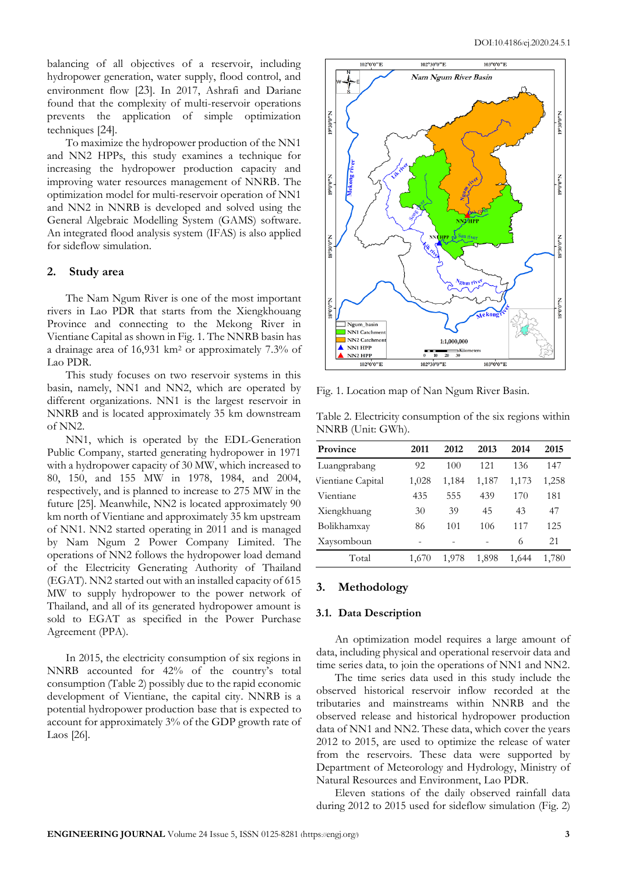balancing of all objectives of a reservoir, including hydropower generation, water supply, flood control, and environment flow [23]. In 2017, Ashrafi and Dariane found that the complexity of multi-reservoir operations prevents the application of simple optimization techniques [24].

To maximize the hydropower production of the NN1 and NN2 HPPs, this study examines a technique for increasing the hydropower production capacity and improving water resources management of NNRB. The optimization model for multi-reservoir operation of NN1 and NN2 in NNRB is developed and solved using the General Algebraic Modelling System (GAMS) software. An integrated flood analysis system (IFAS) is also applied for sideflow simulation.

## **2. Study area**

The Nam Ngum River is one of the most important rivers in Lao PDR that starts from the Xiengkhouang Province and connecting to the Mekong River in Vientiane Capital as shown in Fig. 1. The NNRB basin has a drainage area of 16,931 km<sup>2</sup> or approximately 7.3% of Lao PDR.

This study focuses on two reservoir systems in this basin, namely, NN1 and NN2, which are operated by different organizations. NN1 is the largest reservoir in NNRB and is located approximately 35 km downstream of NN2.

NN1, which is operated by the EDL-Generation Public Company, started generating hydropower in 1971 with a hydropower capacity of 30 MW, which increased to 80, 150, and 155 MW in 1978, 1984, and 2004, respectively, and is planned to increase to 275 MW in the future [25]. Meanwhile, NN2 is located approximately 90 km north of Vientiane and approximately 35 km upstream of NN1. NN2 started operating in 2011 and is managed by Nam Ngum 2 Power Company Limited. The operations of NN2 follows the hydropower load demand of the Electricity Generating Authority of Thailand (EGAT). NN2 started out with an installed capacity of 615 MW to supply hydropower to the power network of Thailand, and all of its generated hydropower amount is sold to EGAT as specified in the Power Purchase Agreement (PPA).

In 2015, the electricity consumption of six regions in NNRB accounted for 42% of the country's total consumption (Table 2) possibly due to the rapid economic development of Vientiane, the capital city. NNRB is a potential hydropower production base that is expected to account for approximately 3% of the GDP growth rate of Laos [26].



Fig. 1. Location map of Nan Ngum River Basin.

Table 2. Electricity consumption of the six regions within NNRB (Unit: GWh).

| Province          | 2011  | 2012  | 2013  | 2014  | 2015  |
|-------------------|-------|-------|-------|-------|-------|
| Luangprabang      | 92    | 100   | 121   | 136   | 147   |
| Vientiane Capital | 1,028 | 1,184 | 1,187 | 1,173 | 1,258 |
| Vientiane         | 435   | 555   | 439   | 170   | 181   |
| Xiengkhuang       | 30    | 39    | 45    | 43    | 47    |
| Bolikhamxay       | 86    | 101   | 106   | 117   | 125   |
| Xaysomboun        |       |       |       | 6     | 21    |
| Total             | 1,670 | 1.978 | 1,898 | 1,644 | 1,780 |

### **3. Methodology**

#### **3.1. Data Description**

An optimization model requires a large amount of data, including physical and operational reservoir data and time series data, to join the operations of NN1 and NN2.

The time series data used in this study include the observed historical reservoir inflow recorded at the tributaries and mainstreams within NNRB and the observed release and historical hydropower production data of NN1 and NN2. These data, which cover the years 2012 to 2015, are used to optimize the release of water from the reservoirs. These data were supported by Department of Meteorology and Hydrology, Ministry of Natural Resources and Environment, Lao PDR.

Eleven stations of the daily observed rainfall data during 2012 to 2015 used for sideflow simulation (Fig. 2)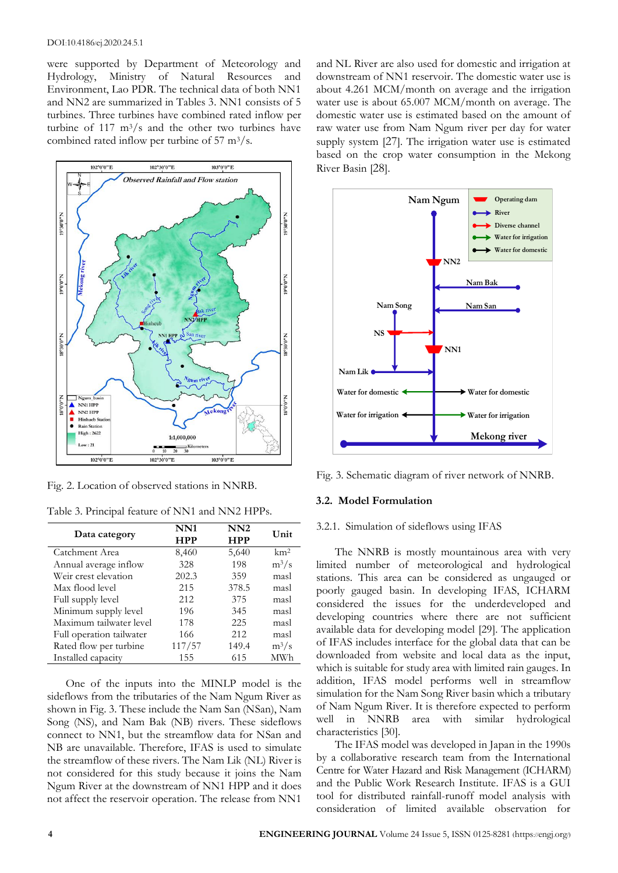#### DOI:10.4186/ej.2020.24.5.1

were supported by Department of Meteorology and Hydrology, Ministry of Natural Resources and Environment, Lao PDR. The technical data of both NN1 and NN2 are summarized in Tables 3. NN1 consists of 5 turbines. Three turbines have combined rated inflow per turbine of 117  $\text{m}^3/\text{s}$  and the other two turbines have combined rated inflow per turbine of  $57 \text{ m}^3/\text{s}$ .



Fig. 2. Location of observed stations in NNRB.

Table 3. Principal feature of NN1 and NN2 HPPs.

| Data category            | NN1<br><b>HPP</b> | NN2<br><b>HPP</b> | Unit            |
|--------------------------|-------------------|-------------------|-----------------|
| Catchment Area           | 8,460             | 5,640             | km <sup>2</sup> |
| Annual average inflow    | 328               | 198               | $m^3/s$         |
| Weir crest elevation     | 202.3             | 359               | masl            |
| Max flood level          | 215               | 378.5             | masl            |
| Full supply level        | 212               | 375               | masl            |
| Minimum supply level     | 196               | 345               | masl            |
| Maximum tailwater level  | 178               | 225               | masl            |
| Full operation tailwater | 166               | 212               | masl            |
| Rated flow per turbine   | 117/57            | 149.4             | $m^3/s$         |
| Installed capacity       | 155               | 615               | MWh             |

One of the inputs into the MINLP model is the sideflows from the tributaries of the Nam Ngum River as shown in Fig. 3. These include the Nam San (NSan), Nam Song (NS), and Nam Bak (NB) rivers. These sideflows connect to NN1, but the streamflow data for NSan and NB are unavailable. Therefore, IFAS is used to simulate the streamflow of these rivers. The Nam Lik (NL) River is not considered for this study because it joins the Nam Ngum River at the downstream of NN1 HPP and it does not affect the reservoir operation. The release from NN1

and NL River are also used for domestic and irrigation at downstream of NN1 reservoir. The domestic water use is about 4.261 MCM/month on average and the irrigation water use is about 65.007 MCM/month on average. The domestic water use is estimated based on the amount of raw water use from Nam Ngum river per day for water supply system [27]. The irrigation water use is estimated based on the crop water consumption in the Mekong River Basin [28].



Fig. 3. Schematic diagram of river network of NNRB.

#### **3.2. Model Formulation**

## 3.2.1. Simulation of sideflows using IFAS

The NNRB is mostly mountainous area with very limited number of meteorological and hydrological stations. This area can be considered as ungauged or poorly gauged basin. In developing IFAS, ICHARM considered the issues for the underdeveloped and developing countries where there are not sufficient available data for developing model [29]. The application of IFAS includes interface for the global data that can be downloaded from website and local data as the input, which is suitable for study area with limited rain gauges. In addition, IFAS model performs well in streamflow simulation for the Nam Song River basin which a tributary of Nam Ngum River. It is therefore expected to perform well in NNRB area with similar hydrological characteristics [30].

The IFAS model was developed in Japan in the 1990s by a collaborative research team from the International Centre for Water Hazard and Risk Management (ICHARM) and the Public Work Research Institute. IFAS is a GUI tool for distributed rainfall-runoff model analysis with consideration of limited available observation for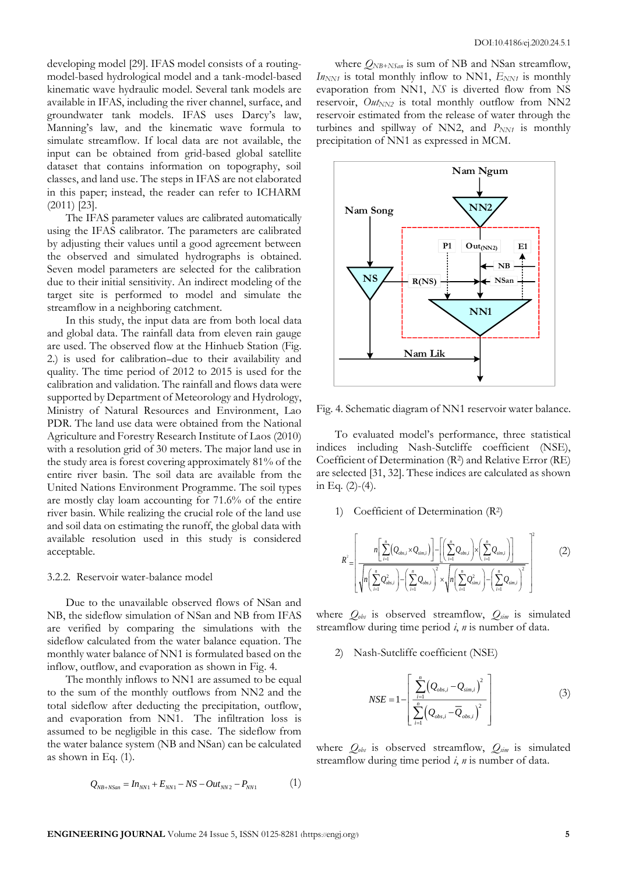developing model [29]. IFAS model consists of a routingmodel-based hydrological model and a tank-model-based kinematic wave hydraulic model. Several tank models are available in IFAS, including the river channel, surface, and groundwater tank models. IFAS uses Darcy's law, Manning's law, and the kinematic wave formula to simulate streamflow. If local data are not available, the input can be obtained from grid-based global satellite dataset that contains information on topography, soil classes, and land use. The steps in IFAS are not elaborated in this paper; instead, the reader can refer to ICHARM (2011) [23].

The IFAS parameter values are calibrated automatically using the IFAS calibrator. The parameters are calibrated by adjusting their values until a good agreement between the observed and simulated hydrographs is obtained. Seven model parameters are selected for the calibration due to their initial sensitivity. An indirect modeling of the target site is performed to model and simulate the streamflow in a neighboring catchment.

In this study, the input data are from both local data and global data. The rainfall data from eleven rain gauge are used. The observed flow at the Hinhueb Station (Fig. 2.) is used for calibration due to their availability and quality. The time period of 2012 to 2015 is used for the calibration and validation. The rainfall and flows data were supported by Department of Meteorology and Hydrology, Ministry of Natural Resources and Environment, Lao PDR. The land use data were obtained from the National Agriculture and Forestry Research Institute of Laos (2010) with a resolution grid of 30 meters. The major land use in the study area is forest covering approximately 81% of the entire river basin. The soil data are available from the United Nations Environment Programme. The soil types are mostly clay loam accounting for 71.6% of the entire river basin. While realizing the crucial role of the land use and soil data on estimating the runoff, the global data with available resolution used in this study is considered acceptable.

#### 3.2.2. Reservoir water-balance model

Due to the unavailable observed flows of NSan and NB, the sideflow simulation of NSan and NB from IFAS are verified by comparing the simulations with the sideflow calculated from the water balance equation. The monthly water balance of NN1 is formulated based on the inflow, outflow, and evaporation as shown in Fig. 4.

The monthly inflows to NN1 are assumed to be equal to the sum of the monthly outflows from NN2 and the total sideflow after deducting the precipitation, outflow, and evaporation from NN1. The infiltration loss is assumed to be negligible in this case. The sideflow from the water balance system (NB and NSan) can be calculated as shown in Eq. (1).

$$
Q_{NB+NSan} = In_{NN1} + E_{NN1} - NS - Out_{NN2} - P_{NN1}
$$
 (1)

where *QNB+NSan* is sum of NB and NSan streamflow,  $I_{N_{NN1}}$  is total monthly inflow to NN1,  $E_{NN1}$  is monthly evaporation from NN1, *NS* is diverted flow from NS reservoir,  $Out_{NN2}$  is total monthly outflow from NN2 reservoir estimated from the release of water through the turbines and spillway of NN2, and  $P_{NN1}$  is monthly precipitation of NN1 as expressed in MCM.



Fig. 4. Schematic diagram of NN1 reservoir water balance.

To evaluated model's performance, three statistical indices including Nash-Sutcliffe coefficient (NSE), Coefficient of Determination (R<sup>2</sup> ) and Relative Error (RE) are selected [31, 32]. These indices are calculated as shown in Eq. (2)-(4).

1) Coefficient of Determination (R<sup>2</sup> )

$$
R^{2} = \left[ \frac{n \left[ \sum_{i=1}^{n} (Q_{obs,i} \times Q_{sim,i}) \right] - \left[ \left( \sum_{i=1}^{n} Q_{obs,i} \right) \times \left( \sum_{i=1}^{n} Q_{sim,i} \right) \right]}{\sqrt{n} \left( \sum_{i=1}^{n} Q_{obs,i}^{2} \right) - \left( \sum_{i=1}^{n} Q_{obs,i} \right)^{2}} \right]^{2} \tag{2}
$$

where *Qobs* is observed streamflow, *Qsim* is simulated streamflow during time period *i*, *n* is number of data.

2) Nash-Sutcliffe coefficient (NSE)

$$
NSE = 1 - \left[ \frac{\sum_{i=1}^{n} (Q_{obs,i} - Q_{sim,i})^2}{\sum_{i=1}^{n} (Q_{obs,i} - \overline{Q}_{obs,i})^2} \right]
$$
(3)

where *Qobs* is observed streamflow, *Qsim* is simulated streamflow during time period *i*, *n* is number of data.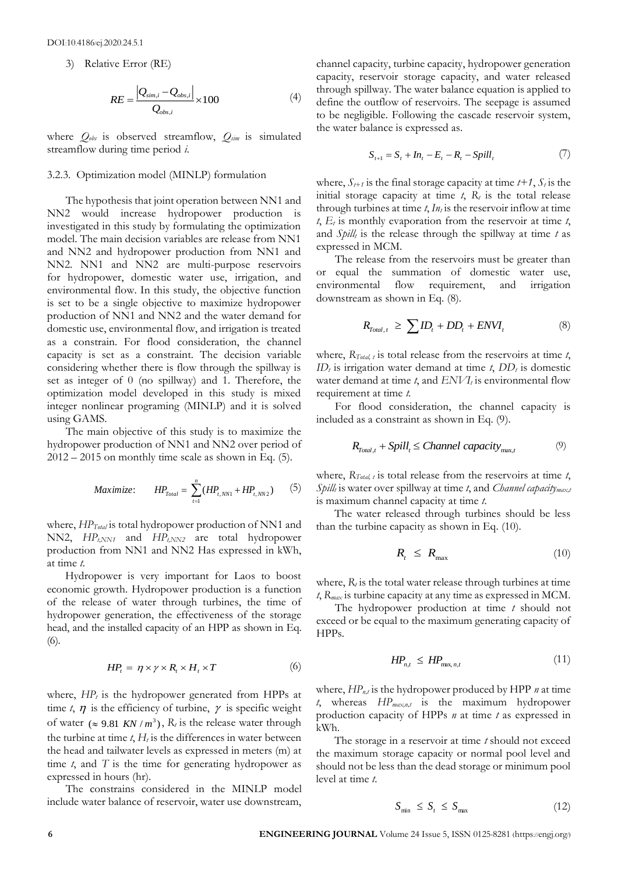3) Relative Error (RE)

$$
RE = \frac{|Q_{sim,i} - Q_{obs,i}|}{Q_{obs,i}} \times 100
$$
 (4)

where *Qobs* is observed streamflow, *Qsim* is simulated streamflow during time period *i*.

### 3.2.3. Optimization model (MINLP) formulation

The hypothesis that joint operation between NN1 and NN2 would increase hydropower production is investigated in this study by formulating the optimization model. The main decision variables are release from NN1 and NN2 and hydropower production from NN1 and NN2. NN1 and NN2 are multi-purpose reservoirs for hydropower, domestic water use, irrigation, and environmental flow. In this study, the objective function is set to be a single objective to maximize hydropower production of NN1 and NN2 and the water demand for domestic use, environmental flow, and irrigation is treated as a constrain. For flood consideration, the channel capacity is set as a constraint. The decision variable considering whether there is flow through the spillway is set as integer of 0 (no spillway) and 1. Therefore, the optimization model developed in this study is mixed integer nonlinear programing (MINLP) and it is solved using GAMS.

The main objective of this study is to maximize the hydropower production of NN1 and NN2 over period of  $2012 - 2015$  on monthly time scale as shown in Eq. (5).

$$
Maximize: \t HP_{\text{Total}} = \sum_{t=1}^{n} (HP_{t, NN1} + HP_{t, NN2}) \t(5)
$$

where, *HPTotal* is total hydropower production of NN1 and NN2, *HPt,NN1* and *HPt,NN2* are total hydropower production from NN1 and NN2 Has expressed in kWh, at time *t*.

Hydropower is very important for Laos to boost economic growth. Hydropower production is a function of the release of water through turbines, the time of hydropower generation, the effectiveness of the storage head, and the installed capacity of an HPP as shown in Eq. (6).

$$
HP_t = \eta \times \gamma \times R_t \times H_t \times T \tag{6}
$$

where,  $HP_t$  is the hydropower generated from HPPs at time  $t$ ,  $\eta$  is the efficiency of turbine,  $\gamma$  is specific weight of water ( $\approx$  9.81 *KN* /  $m^3$ ),  $R_t$  is the release water through the turbine at time  $t$ ,  $H_t$  is the differences in water between the head and tailwater levels as expressed in meters (m) at time *t*, and *T* is the time for generating hydropower as expressed in hours (hr).

The constrains considered in the MINLP model include water balance of reservoir, water use downstream, channel capacity, turbine capacity, hydropower generation capacity, reservoir storage capacity, and water released through spillway. The water balance equation is applied to define the outflow of reservoirs. The seepage is assumed to be negligible. Following the cascade reservoir system, the water balance is expressed as.

$$
S_{t+1} = S_t + In_t - E_t - R_t - Spill_t
$$
 (7)

where,  $S_{t+1}$  is the final storage capacity at time  $t+1$ ,  $S_t$  is the initial storage capacity at time  $t$ ,  $R_t$  is the total release through turbines at time  $t$ ,  $In<sub>t</sub>$  is the reservoir inflow at time  $t$ ,  $E_t$  is monthly evaporation from the reservoir at time  $t$ , and *Spill<sup>t</sup>* is the release through the spillway at time *t* as expressed in MCM.

The release from the reservoirs must be greater than or equal the summation of domestic water use, environmental flow requirement, and irrigation downstream as shown in Eq. (8).

$$
R_{\text{Total},t} \geq \sum ID_t + DD_t + ENVI_t \tag{8}
$$

where, *RTotal, t* is total release from the reservoirs at time *t*, *ID* $<sub>t</sub>$  is irrigation water demand at time *t*, *DD* $<sub>t</sub>$  is domestic</sub></sub> water demand at time *t*, and *ENVI<sup>t</sup>* is environmental flow requirement at time *t.*

For flood consideration, the channel capacity is included as a constraint as shown in Eq. (9).

$$
R_{\text{Total},t} + Split_t \leq Channel\ capacity_{\text{max},t} \tag{9}
$$

where, *RTotal, t* is total release from the reservoirs at time *t*, *Spill<sup>t</sup>* is water over spillway at time *t*, and *Channel capacitymax,t* is maximum channel capacity at time *t*.

The water released through turbines should be less than the turbine capacity as shown in Eq. (10).

$$
R_t \le R_{\text{max}} \tag{10}
$$

where,  $R_t$  is the total water release through turbines at time *t*, *Rmax* is turbine capacity at any time as expressed in MCM.

The hydropower production at time *t* should not exceed or be equal to the maximum generating capacity of HPPs.

$$
HP_{n,t} \le HP_{\max,n,t} \tag{11}
$$

where, *HPn,t* is the hydropower produced by HPP *n* at time *t*, whereas *HPmax,n,t* is the maximum hydropower production capacity of HPPs *n* at time *t* as expressed in kWh.

The storage in a reservoir at time *t* should not exceed the maximum storage capacity or normal pool level and should not be less than the dead storage or minimum pool level at time *t*.

$$
S_{\min} \le S_t \le S_{\max} \tag{12}
$$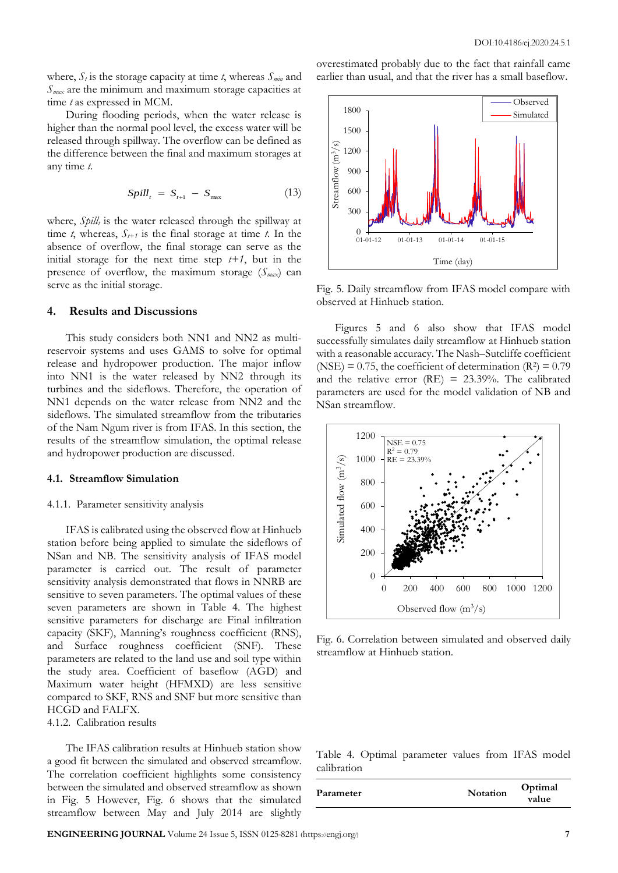where,  $S_t$  is the storage capacity at time *t*, whereas  $S_{min}$  and *Smax* are the minimum and maximum storage capacities at time *t* as expressed in MCM.

During flooding periods, when the water release is higher than the normal pool level, the excess water will be released through spillway. The overflow can be defined as the difference between the final and maximum storages at any time *t*.

$$
Split_t = S_{t+1} - S_{\text{max}} \tag{13}
$$

where, *Spill<sub>t</sub>* is the water released through the spillway at time *t*, whereas,  $S_{t+1}$  is the final storage at time *t*. In the absence of overflow, the final storage can serve as the initial storage for the next time step  $t+1$ , but in the presence of overflow, the maximum storage (*Smax*) can serve as the initial storage.

#### **4. Results and Discussions**

This study considers both NN1 and NN2 as multireservoir systems and uses GAMS to solve for optimal release and hydropower production. The major inflow into NN1 is the water released by NN2 through its turbines and the sideflows. Therefore, the operation of NN1 depends on the water release from NN2 and the sideflows. The simulated streamflow from the tributaries of the Nam Ngum river is from IFAS. In this section, the results of the streamflow simulation, the optimal release and hydropower production are discussed.

#### **4.1. Streamflow Simulation**

#### 4.1.1. Parameter sensitivity analysis

IFAS is calibrated using the observed flow at Hinhueb station before being applied to simulate the sideflows of NSan and NB. The sensitivity analysis of IFAS model parameter is carried out. The result of parameter sensitivity analysis demonstrated that flows in NNRB are sensitive to seven parameters. The optimal values of these seven parameters are shown in Table 4. The highest sensitive parameters for discharge are Final infiltration capacity (SKF), Manning's roughness coefficient (RNS), and Surface roughness coefficient (SNF). These parameters are related to the land use and soil type within the study area. Coefficient of baseflow (AGD) and Maximum water height (HFMXD) are less sensitive compared to SKF, RNS and SNF but more sensitive than HCGD and FALFX.

4.1.2. Calibration results

The IFAS calibration results at Hinhueb station show a good fit between the simulated and observed streamflow. The correlation coefficient highlights some consistency between the simulated and observed streamflow as shown in Fig. 5 However, Fig. 6 shows that the simulated streamflow between May and July 2014 are slightly overestimated probably due to the fact that rainfall came earlier than usual, and that the river has a small baseflow.



Fig. 5. Daily streamflow from IFAS model compare with observed at Hinhueb station.

Figures 5 and 6 also show that IFAS model successfully simulates daily streamflow at Hinhueb station with a reasonable accuracy. The Nash–Sutcliffe coefficient (NSE) = 0.75, the coefficient of determination  $(R^2) = 0.79$ and the relative error (RE) =  $23.39\%$ . The calibrated parameters are used for the model validation of NB and NSan streamflow.



Fig. 6. Correlation between simulated and observed daily streamflow at Hinhueb station.

Table 4. Optimal parameter values from IFAS model calibration

| Parameter | <b>Notation</b> | Optimal<br>value |
|-----------|-----------------|------------------|
|-----------|-----------------|------------------|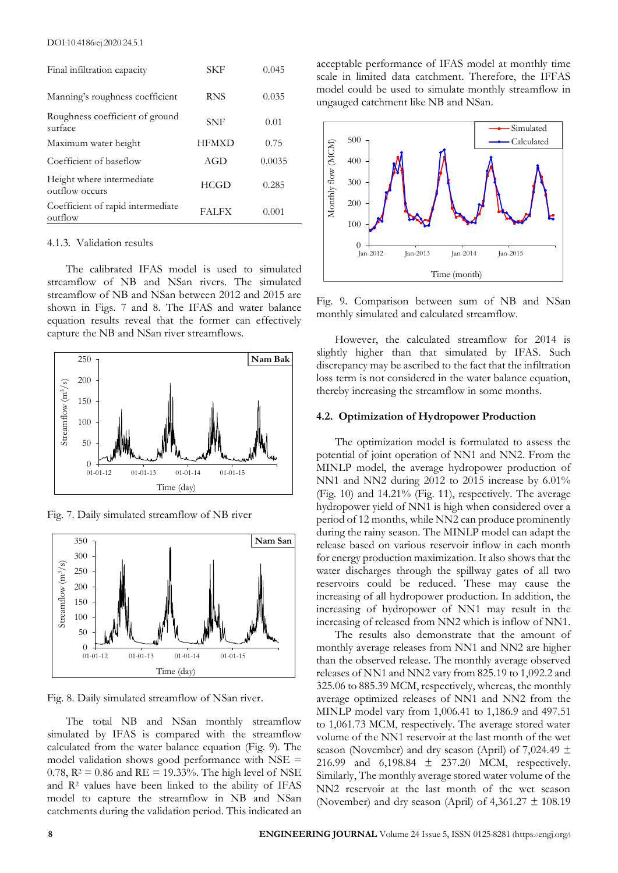| Final infiltration capacity                  | SKF          | 0.045  |
|----------------------------------------------|--------------|--------|
| Manning's roughness coefficient              | <b>RNS</b>   | 0.035  |
| Roughness coefficient of ground<br>surface   | SNF          | 0.01   |
| Maximum water height                         | <b>HFMXD</b> | 0.75   |
| Coefficient of baseflow                      | AGD          | 0.0035 |
| Height where intermediate<br>outflow occurs  | <b>HCGD</b>  | 0.285  |
| Coefficient of rapid intermediate<br>outflow | <b>FALFX</b> | 0.001  |

#### 4.1.3. Validation results

The calibrated IFAS model is used to simulated streamflow of NB and NSan rivers. The simulated streamflow of NB and NSan between 2012 and 2015 are shown in Figs. 7 and 8. The IFAS and water balance equation results reveal that the former can effectively capture the NB and NSan river streamflows.



Fig. 7. Daily simulated streamflow of NB river



Fig. 8. Daily simulated streamflow of NSan river.

The total NB and NSan monthly streamflow simulated by IFAS is compared with the streamflow calculated from the water balance equation (Fig. 9). The model validation shows good performance with NSE = 0.78,  $R^2 = 0.86$  and  $RE = 19.33\%$ . The high level of NSE and R<sup>2</sup> values have been linked to the ability of IFAS model to capture the streamflow in NB and NSan catchments during the validation period. This indicated an acceptable performance of IFAS model at monthly time scale in limited data catchment. Therefore, the IFFAS model could be used to simulate monthly streamflow in ungauged catchment like NB and NSan.



Fig. 9. Comparison between sum of NB and NSan monthly simulated and calculated streamflow.

However, the calculated streamflow for 2014 is slightly higher than that simulated by IFAS. Such discrepancy may be ascribed to the fact that the infiltration loss term is not considered in the water balance equation, thereby increasing the streamflow in some months.

#### **4.2. Optimization of Hydropower Production**

The optimization model is formulated to assess the potential of joint operation of NN1 and NN2. From the MINLP model, the average hydropower production of NN1 and NN2 during 2012 to 2015 increase by 6.01% (Fig. 10) and 14.21% (Fig. 11), respectively. The average hydropower yield of NN1 is high when considered over a period of 12 months, while NN2 can produce prominently during the rainy season. The MINLP model can adapt the release based on various reservoir inflow in each month for energy production maximization. It also shows that the water discharges through the spillway gates of all two reservoirs could be reduced. These may cause the increasing of all hydropower production. In addition, the increasing of hydropower of NN1 may result in the increasing of released from NN2 which is inflow of NN1.

The results also demonstrate that the amount of monthly average releases from NN1 and NN2 are higher than the observed release. The monthly average observed releases of NN1 and NN2 vary from 825.19 to 1,092.2 and 325.06 to 885.39 MCM, respectively, whereas, the monthly average optimized releases of NN1 and NN2 from the MINLP model vary from 1,006.41 to 1,186.9 and 497.51 to 1,061.73 MCM, respectively. The average stored water volume of the NN1 reservoir at the last month of the wet season (November) and dry season (April) of 7,024.49  $\pm$ 216.99 and 6,198.84 ± 237.20 MCM, respectively. Similarly, The monthly average stored water volume of the NN2 reservoir at the last month of the wet season (November) and dry season (April) of  $4,361.27 \pm 108.19$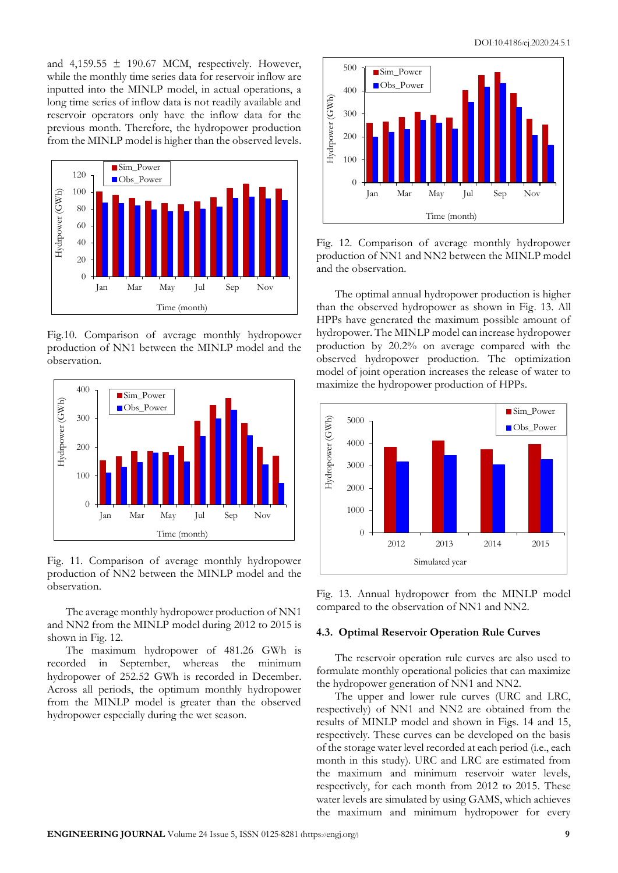and  $4,159.55 \pm 190.67$  MCM, respectively. However, while the monthly time series data for reservoir inflow are inputted into the MINLP model, in actual operations, a long time series of inflow data is not readily available and reservoir operators only have the inflow data for the previous month. Therefore, the hydropower production from the MINLP model is higher than the observed levels.



Fig.10. Comparison of average monthly hydropower production of NN1 between the MINLP model and the observation.



Fig. 11. Comparison of average monthly hydropower production of NN2 between the MINLP model and the observation.

The average monthly hydropower production of NN1 and NN2 from the MINLP model during 2012 to 2015 is shown in Fig. 12.

The maximum hydropower of 481.26 GWh is recorded in September, whereas the minimum hydropower of 252.52 GWh is recorded in December. Across all periods, the optimum monthly hydropower from the MINLP model is greater than the observed hydropower especially during the wet season.



Fig. 12. Comparison of average monthly hydropower production of NN1 and NN2 between the MINLP model and the observation.

The optimal annual hydropower production is higher than the observed hydropower as shown in Fig. 13. All HPPs have generated the maximum possible amount of hydropower. The MINLP model can increase hydropower production by 20.2% on average compared with the observed hydropower production. The optimization model of joint operation increases the release of water to maximize the hydropower production of HPPs.



Fig. 13. Annual hydropower from the MINLP model compared to the observation of NN1 and NN2.

#### **4.3. Optimal Reservoir Operation Rule Curves**

The reservoir operation rule curves are also used to formulate monthly operational policies that can maximize the hydropower generation of NN1 and NN2.

The upper and lower rule curves (URC and LRC, respectively) of NN1 and NN2 are obtained from the results of MINLP model and shown in Figs. 14 and 15, respectively. These curves can be developed on the basis of the storage water level recorded at each period (i.e., each month in this study). URC and LRC are estimated from the maximum and minimum reservoir water levels, respectively, for each month from 2012 to 2015. These water levels are simulated by using GAMS, which achieves the maximum and minimum hydropower for every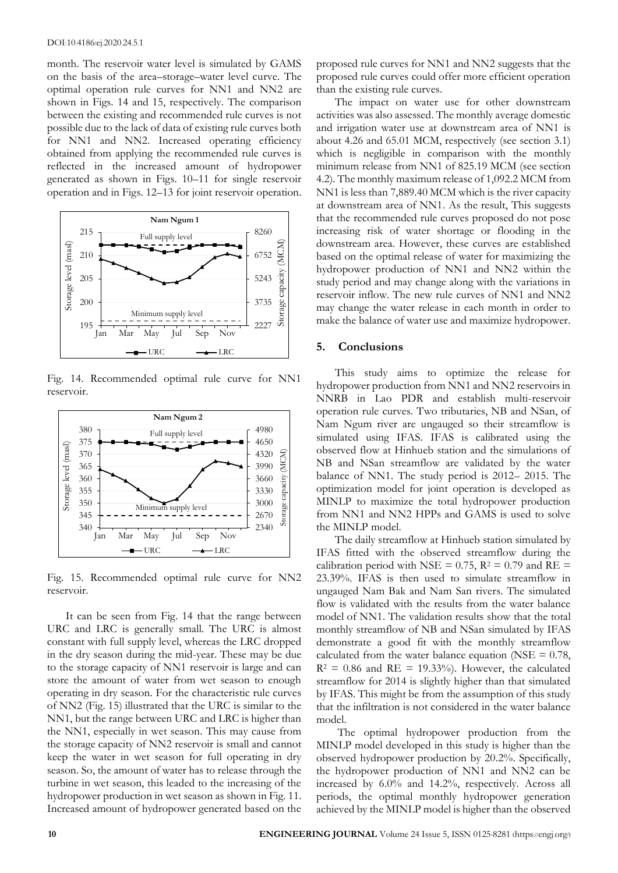month. The reservoir water level is simulated by GAMS on the basis of the area–storage–water level curve. The optimal operation rule curves for NN1 and NN2 are shown in Figs. 14 and 15, respectively. The comparison between the existing and recommended rule curves is not possible due to the lack of data of existing rule curves both for NN1 and NN2. Increased operating efficiency obtained from applying the recommended rule curves is reflected in the increased amount of hydropower generated as shown in Figs. 10–11 for single reservoir operation and in Figs. 12–13 for joint reservoir operation.



Fig. 14. Recommended optimal rule curve for NN1 reservoir.



Fig. 15. Recommended optimal rule curve for NN2 reservoir.

It can be seen from Fig. 14 that the range between URC and LRC is generally small. The URC is almost constant with full supply level, whereas the LRC dropped in the dry season during the mid-year. These may be due to the storage capacity of NN1 reservoir is large and can store the amount of water from wet season to enough operating in dry season. For the characteristic rule curves of NN2 (Fig. 15) illustrated that the URC is similar to the NN1, but the range between URC and LRC is higher than the NN1, especially in wet season. This may cause from the storage capacity of NN2 reservoir is small and cannot keep the water in wet season for full operating in dry season. So, the amount of water has to release through the turbine in wet season, this leaded to the increasing of the hydropower production in wet season as shown in Fig. 11. Increased amount of hydropower generated based on the proposed rule curves for NN1 and NN2 suggests that the proposed rule curves could offer more efficient operation than the existing rule curves.

The impact on water use for other downstream activities was also assessed. The monthly average domestic and irrigation water use at downstream area of NN1 is about 4.26 and 65.01 MCM, respectively (see section 3.1) which is negligible in comparison with the monthly minimum release from NN1 of 825.19 MCM (see section 4.2). The monthly maximum release of 1,092.2 MCM from NN1 is less than 7,889.40 MCM which is the river capacity at downstream area of NN1. As the result, This suggests that the recommended rule curves proposed do not pose increasing risk of water shortage or flooding in the downstream area. However, these curves are established based on the optimal release of water for maximizing the hydropower production of NN1 and NN2 within the study period and may change along with the variations in reservoir inflow. The new rule curves of NN1 and NN2 may change the water release in each month in order to make the balance of water use and maximize hydropower.

## **5. Conclusions**

This study aims to optimize the release for hydropower production from NN1 and NN2 reservoirs in NNRB in Lao PDR and establish multi-reservoir operation rule curves. Two tributaries, NB and NSan, of Nam Ngum river are ungauged so their streamflow is simulated using IFAS. IFAS is calibrated using the observed flow at Hinhueb station and the simulations of NB and NSan streamflow are validated by the water balance of NN1. The study period is 2012– 2015. The optimization model for joint operation is developed as MINLP to maximize the total hydropower production from NN1 and NN2 HPPs and GAMS is used to solve the MINLP model.

The daily streamflow at Hinhueb station simulated by IFAS fitted with the observed streamflow during the calibration period with NSE =  $0.75$ , R<sup>2</sup> =  $0.79$  and RE = 23.39%. IFAS is then used to simulate streamflow in ungauged Nam Bak and Nam San rivers. The simulated flow is validated with the results from the water balance model of NN1. The validation results show that the total monthly streamflow of NB and NSan simulated by IFAS demonstrate a good fit with the monthly streamflow calculated from the water balance equation (NSE  $= 0.78$ ,  $R^2 = 0.86$  and  $RE = 19.33\%$ . However, the calculated streamflow for 2014 is slightly higher than that simulated by IFAS. This might be from the assumption of this study that the infiltration is not considered in the water balance model.

The optimal hydropower production from the MINLP model developed in this study is higher than the observed hydropower production by 20.2%. Specifically, the hydropower production of NN1 and NN2 can be increased by 6.0% and 14.2%, respectively. Across all periods, the optimal monthly hydropower generation achieved by the MINLP model is higher than the observed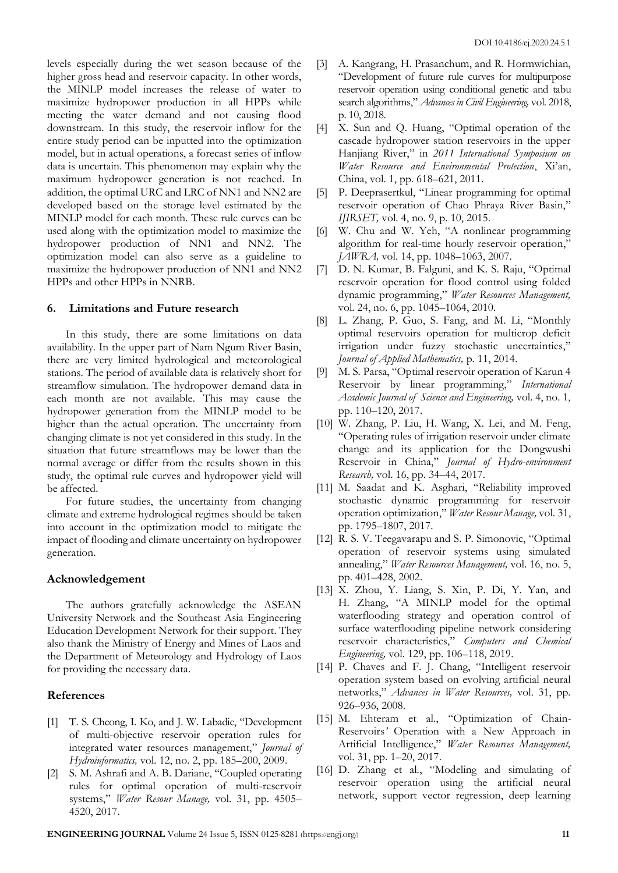levels especially during the wet season because of the higher gross head and reservoir capacity. In other words, the MINLP model increases the release of water to maximize hydropower production in all HPPs while meeting the water demand and not causing flood downstream. In this study, the reservoir inflow for the entire study period can be inputted into the optimization model, but in actual operations, a forecast series of inflow data is uncertain. This phenomenon may explain why the maximum hydropower generation is not reached. In addition, the optimal URC and LRC of NN1 and NN2 are developed based on the storage level estimated by the MINLP model for each month. These rule curves can be used along with the optimization model to maximize the hydropower production of NN1 and NN2. The optimization model can also serve as a guideline to maximize the hydropower production of NN1 and NN2 HPPs and other HPPs in NNRB.

## **6. Limitations and Future research**

In this study, there are some limitations on data availability. In the upper part of Nam Ngum River Basin, there are very limited hydrological and meteorological stations. The period of available data is relatively short for streamflow simulation. The hydropower demand data in each month are not available. This may cause the hydropower generation from the MINLP model to be higher than the actual operation. The uncertainty from changing climate is not yet considered in this study. In the situation that future streamflows may be lower than the normal average or differ from the results shown in this study, the optimal rule curves and hydropower yield will be affected.

For future studies, the uncertainty from changing climate and extreme hydrological regimes should be taken into account in the optimization model to mitigate the impact of flooding and climate uncertainty on hydropower generation.

### **Acknowledgement**

The authors gratefully acknowledge the ASEAN University Network and the Southeast Asia Engineering Education Development Network for their support. They also thank the Ministry of Energy and Mines of Laos and the Department of Meteorology and Hydrology of Laos for providing the necessary data.

## **References**

- [1] T. S. Cheong, I. Ko, and J. W. Labadie, "Development of multi-objective reservoir operation rules for integrated water resources management," *Journal of Hydroinformatics,* vol. 12, no. 2, pp. 185–200, 2009.
- [2] S. M. Ashrafi and A. B. Dariane, "Coupled operating rules for optimal operation of multi-reservoir systems," *Water Resour Manage,* vol. 31, pp. 4505– 4520, 2017.
- [3] A. Kangrang, H. Prasanchum, and R. Hormwichian, "Development of future rule curves for multipurpose reservoir operation using conditional genetic and tabu search algorithms," *Advances in Civil Engineering,* vol. 2018, p. 10, 2018.
- [4] X. Sun and Q. Huang, "Optimal operation of the cascade hydropower station reservoirs in the upper Hanjiang River," in *2011 International Symposium on Water Resource and Environmental Protection*, Xi'an, China, vol. 1, pp. 618–621, 2011.
- [5] P. Deeprasertkul, "Linear programming for optimal reservoir operation of Chao Phraya River Basin," *IJIRSET,* vol. 4, no. 9, p. 10, 2015.
- [6] W. Chu and W. Yeh, "A nonlinear programming algorithm for real-time hourly reservoir operation," *JAWRA,* vol. 14, pp. 1048–1063, 2007.
- [7] D. N. Kumar, B. Falguni, and K. S. Raju, "Optimal reservoir operation for flood control using folded dynamic programming," *Water Resources Management,*  vol. 24, no. 6, pp. 1045–1064, 2010.
- [8] L. Zhang, P. Guo, S. Fang, and M. Li, "Monthly optimal reservoirs operation for multicrop deficit irrigation under fuzzy stochastic uncertainties," *Journal of Applied Mathematics,* p. 11, 2014.
- [9] M. S. Parsa, "Optimal reservoir operation of Karun 4 Reservoir by linear programming," *International Academic Journal of Science and Engineering,* vol. 4, no. 1, pp. 110–120, 2017.
- [10] W. Zhang, P. Liu, H. Wang, X. Lei, and M. Feng, "Operating rules of irrigation reservoir under climate change and its application for the Dongwushi Reservoir in China," *Journal of Hydro-environment Research,* vol. 16, pp. 34–44, 2017.
- [11] M. Saadat and K. Asghari, "Reliability improved stochastic dynamic programming for reservoir operation optimization," *Water Resour Manage,* vol. 31, pp. 1795–1807, 2017.
- [12] R. S. V. Teegavarapu and S. P. Simonovic, "Optimal operation of reservoir systems using simulated annealing," *Water Resources Management,* vol. 16, no. 5, pp. 401–428, 2002.
- [13] X. Zhou, Y. Liang, S. Xin, P. Di, Y. Yan, and H. Zhang, "A MINLP model for the optimal waterflooding strategy and operation control of surface waterflooding pipeline network considering reservoir characteristics," *Computers and Chemical Engineering,* vol. 129, pp. 106–118, 2019.
- [14] P. Chaves and F. J. Chang, "Intelligent reservoir operation system based on evolving artificial neural networks," *Advances in Water Resources,* vol. 31, pp. 926–936, 2008.
- [15] M. Ehteram et al*.*, "Optimization of Chain*-*Reservoirs*'* Operation with a New Approach in Artificial Intelligence," *Water Resources Management,* vol. 31, pp. 1–20, 2017.
- [16] D. Zhang et al*.*, "Modeling and simulating of reservoir operation using the artificial neural network, support vector regression, deep learning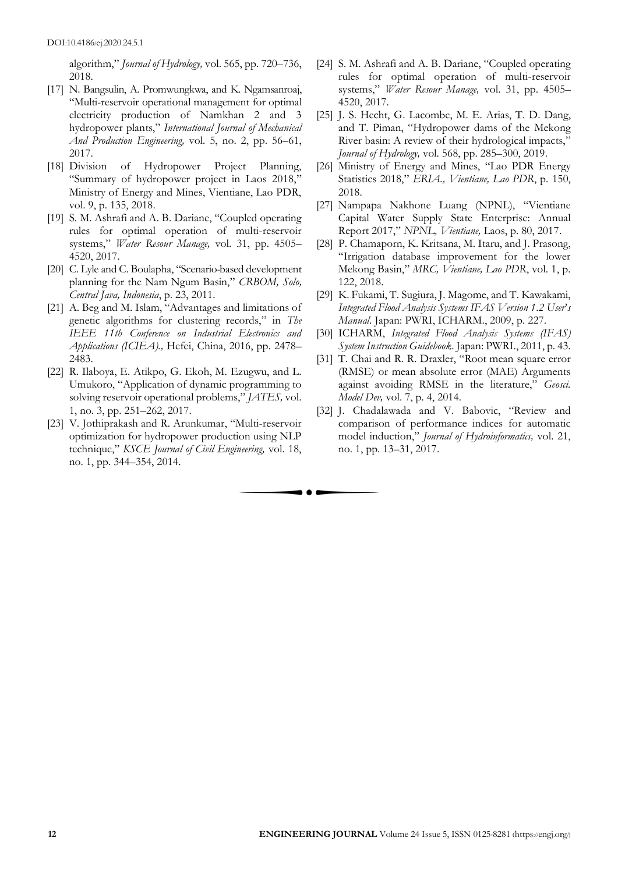algorithm," *Journal of Hydrology,* vol. 565, pp. 720–736, 2018.

- [17] N. Bangsulin, A. Promwungkwa, and K. Ngamsanroaj, "Multi-reservoir operational management for optimal electricity production of Namkhan 2 and 3 hydropower plants," *International Journal of Mechanical And Production Engineering,* vol. 5, no. 2, pp. 56–61, 2017.
- [18] Division of Hydropower Project Planning, "Summary of hydropower project in Laos 2018," Ministry of Energy and Mines, Vientiane, Lao PDR, vol. 9, p. 135, 2018.
- [19] S. M. Ashrafi and A. B. Dariane, "Coupled operating rules for optimal operation of multi-reservoir systems," *Water Resour Manage,* vol. 31, pp. 4505– 4520, 2017.
- [20] C. Lyle and C. Boulapha, "Scenario*-*based development planning for the Nam Ngum Basin," *CRBOM, Solo, Central Java, Indonesia*, p. 23, 2011.
- [21] A. Beg and M. Islam, "Advantages and limitations of genetic algorithms for clustering records," in *The IEEE 11th Conference on Industrial Electronics and Applications (ICIEA).,* Hefei, China, 2016, pp. 2478– 2483.
- [22] R. Ilaboya, E. Atikpo, G. Ekoh, M. Ezugwu, and L. Umukoro, "Application of dynamic programming to solving reservoir operational problems," *JATES,* vol. 1, no. 3, pp. 251–262, 2017.
- [23] V. Jothiprakash and R. Arunkumar, "Multi-reservoir optimization for hydropower production using NLP technique," *KSCE Journal of Civil Engineering,* vol. 18, no. 1, pp. 344–354, 2014.

 $\bullet$ 

- [24] S. M. Ashrafi and A. B. Dariane, "Coupled operating rules for optimal operation of multi-reservoir systems," *Water Resour Manage,* vol. 31, pp. 4505– 4520, 2017.
- [25] J. S. Hecht, G. Lacombe, M. E. Arias, T. D. Dang, and T. Piman, "Hydropower dams of the Mekong River basin: A review of their hydrological impacts," *Journal of Hydrology,* vol. 568, pp. 285–300, 2019.
- [26] Ministry of Energy and Mines, "Lao PDR Energy Statistics 2018," *ERIA., Vientiane, Lao PDR*, p. 150, 2018.
- [27] Nampapa Nakhone Luang (NPNL), "Vientiane Capital Water Supply State Enterprise: Annual Report 2017," *NPNL, Vientiane,* Laos, p. 80, 2017.
- [28] P. Chamaporn, K. Kritsana, M. Itaru, and J. Prasong, "Irrigation database improvement for the lower Mekong Basin," *MRC, Vientiane, Lao PDR*, vol. 1, p. 122, 2018.
- [29] K. Fukami, T. Sugiura, J. Magome, and T. Kawakami, *Integrated Flood Analysis Systems IFAS Version 1*.*2 User*'*s Manual.* Japan: PWRI, ICHARM., 2009, p. 227.
- [30] ICHARM, *Integrated Flood Analysis Systems (IFAS) System Instruction Guidebook*. Japan: PWRI., 2011, p. 43.
- [31] T. Chai and R. R. Draxler, "Root mean square error (RMSE) or mean absolute error (MAE) Arguments against avoiding RMSE in the literature," *Geosci. Model Dev,* vol. 7, p. 4, 2014.
- [32] J. Chadalawada and V. Babovic, "Review and comparison of performance indices for automatic model induction," *Journal of Hydroinformatics,* vol. 21, no. 1, pp. 13–31, 2017.